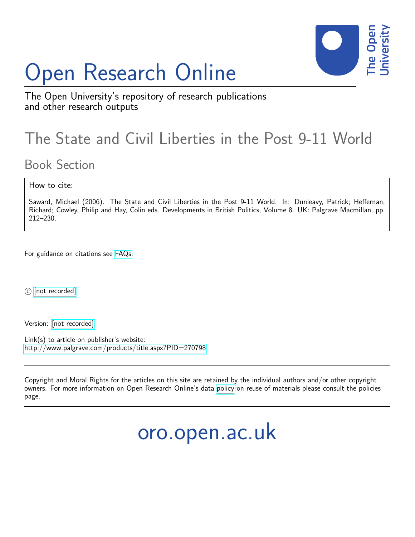# Open Research Online



The Open University's repository of research publications and other research outputs

## The State and Civil Liberties in the Post 9-11 World

### Book Section

#### How to cite:

Saward, Michael (2006). The State and Civil Liberties in the Post 9-11 World. In: Dunleavy, Patrick; Heffernan, Richard; Cowley, Philip and Hay, Colin eds. Developments in British Politics, Volume 8. UK: Palgrave Macmillan, pp. 212–230.

For guidance on citations see [FAQs.](http://oro.open.ac.uk/help/helpfaq.html)

 $\circled{c}$  [\[not recorded\]](http://oro.open.ac.uk/help/helpfaq.html#Unrecorded_information_on_coversheet)

Version: [\[not recorded\]](http://oro.open.ac.uk/help/helpfaq.html#Unrecorded_information_on_coversheet)

Link(s) to article on publisher's website: <http://www.palgrave.com/products/title.aspx?PID=270798>

Copyright and Moral Rights for the articles on this site are retained by the individual authors and/or other copyright owners. For more information on Open Research Online's data [policy](http://oro.open.ac.uk/policies.html) on reuse of materials please consult the policies page.

oro.open.ac.uk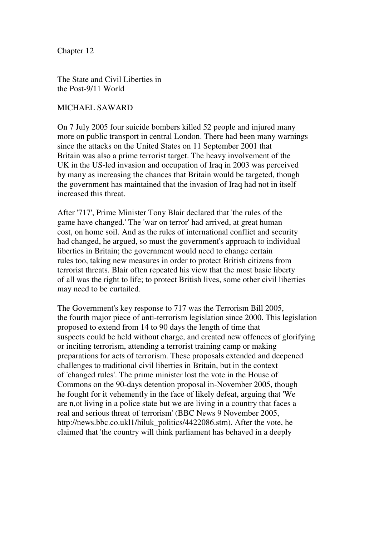Chapter 12

The State and Civil Liberties in the Post-9/11 World

#### MICHAEL SAWARD

On 7 July 2005 four suicide bombers killed 52 people and injured many more on public transport in central London. There had been many warnings since the attacks on the United States on 11 September 2001 that Britain was also a prime terrorist target. The heavy involvement of the UK in the US-led invasion and occupation of Iraq in 2003 was perceived by many as increasing the chances that Britain would be targeted, though the government has maintained that the invasion of Iraq had not in itself increased this threat.

After '717', Prime Minister Tony Blair declared that 'the rules of the game have changed.' The 'war on terror' had arrived, at great human cost, on home soil. And as the rules of international conflict and security had changed, he argued, so must the government's approach to individual liberties in Britain; the government would need to change certain rules too, taking new measures in order to protect British citizens from terrorist threats. Blair often repeated his view that the most basic liberty of all was the right to life; to protect British lives, some other civil liberties may need to be curtailed.

The Government's key response to 717 was the Terrorism Bill 2005, the fourth major piece of anti-terrorism legislation since 2000. This legislation proposed to extend from 14 to 90 days the length of time that suspects could be held without charge, and created new offences of glorifying or inciting terrorism, attending a terrorist training camp or making preparations for acts of terrorism. These proposals extended and deepened challenges to traditional civil liberties in Britain, but in the context of 'changed rules'. The prime minister lost the vote in the House of Commons on the 90-days detention proposal in-November 2005, though he fought for it vehemently in the face of likely defeat, arguing that 'We are n,ot living in a police state but we are living in a country that faces a real and serious threat of terrorism' (BBC News 9 November 2005, http://news.bbc.co.ukl1/hiluk\_politics/4422086.stm). After the vote, he claimed that 'the country will think parliament has behaved in a deeply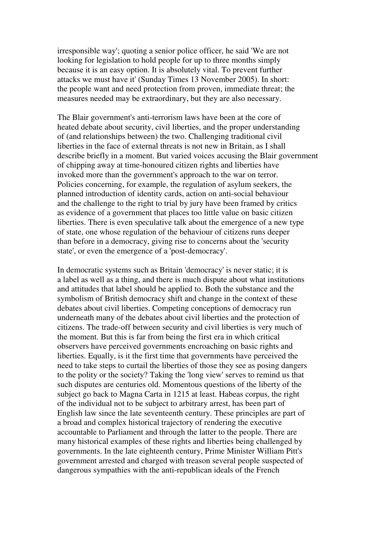irresponsible way'; quoting a senior police officer, he said 'We are not looking for legislation to hold people for up to three months simply because it is an easy option. It is absolutely vital. To prevent further attacks we must have it' (Sunday Times 13 November 2005). In short: the people want and need protection from proven, immediate threat; the measures needed may be extraordinary, but they are also necessary.

The Blair government's anti-terrorism laws have been at the core of heated debate about security, civil liberties, and the proper understanding of (and relationships between) the two. Challenging traditional civil liberties in the face of external threats is not new in Britain, as I shall describe briefly in a moment. But varied voices accusing the Blair government of chipping away at time-honoured citizen rights and liberties have invoked more than the government's approach to the war on terror. Policies concerning, for example, the regulation of asylum seekers, the planned introduction of identity cards, action on anti-social behaviour and the challenge to the right to trial by jury have been framed by critics as evidence of a government that places too little value on basic citizen liberties. There is even speculative talk about the emergence of a new type of state, one whose regulation of the behaviour of citizens runs deeper than before in a democracy, giving rise to concerns about the 'security state', or even the emergence of a 'post-democracy'.

In democratic systems such as Britain 'democracy' is never static; it is a label as well as a thing, and there is much dispute about what institutions and attitudes that label should be applied to. Both the substance and the symbolism of British democracy shift and change in the context of these debates about civil liberties. Competing conceptions of democracy run underneath many of the debates about civil liberties and the protection of citizens. The trade-off between security and civil liberties is very much of the moment. But this is far from being the first era in which critical observers have perceived governments encroaching on basic rights and liberties. Equally, is it the first time that governments have perceived the need to take steps to curtail the liberties of those they see as posing dangers to the polity or the society? Taking the 'long view' serves to remind us that such disputes are centuries old. Momentous questions of the liberty of the subject go back to Magna Carta in 1215 at least. Habeas corpus, the right of the individual not to be subject to arbitrary arrest, has been part of English law since the late seventeenth century. These principles are part of a broad and complex historical trajectory of rendering the executive accountable to Parliament and through the latter to the people. There are many historical examples of these rights and liberties being challenged by governments. In the late eighteenth century, Prime Minister William Pitt's government arrested and charged with treason several people suspected of dangerous sympathies with the anti-republican ideals of the French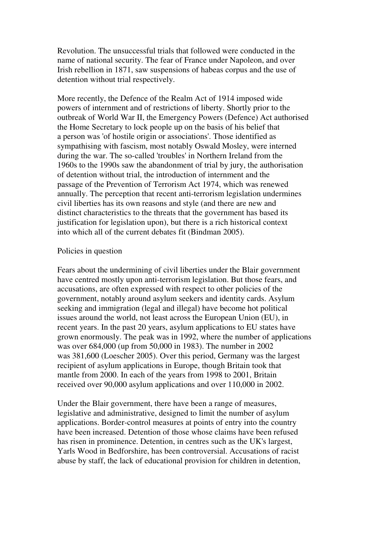Revolution. The unsuccessful trials that followed were conducted in the name of national security. The fear of France under Napoleon, and over Irish rebellion in 1871, saw suspensions of habeas corpus and the use of detention without trial respectively.

More recently, the Defence of the Realm Act of 1914 imposed wide powers of internment and of restrictions of liberty. Shortly prior to the outbreak of World War II, the Emergency Powers (Defence) Act authorised the Home Secretary to lock people up on the basis of his belief that a person was 'of hostile origin or associations'. Those identified as sympathising with fascism, most notably Oswald Mosley, were interned during the war. The so-called 'troubles' in Northern Ireland from the 1960s to the 1990s saw the abandonment of trial by jury, the authorisation of detention without trial, the introduction of internment and the passage of the Prevention of Terrorism Act 1974, which was renewed annually. The perception that recent anti-terrorism legislation undermines civil liberties has its own reasons and style (and there are new and distinct characteristics to the threats that the government has based its justification for legislation upon), but there is a rich historical context into which all of the current debates fit (Bindman 2005).

#### Policies in question

Fears about the undermining of civil liberties under the Blair government have centred mostly upon anti-terrorism legislation. But those fears, and accusations, are often expressed with respect to other policies of the government, notably around asylum seekers and identity cards. Asylum seeking and immigration (legal and illegal) have become hot political issues around the world, not least across the European Union (EU), in recent years. In the past 20 years, asylum applications to EU states have grown enormously. The peak was in 1992, where the number of applications was over 684,000 (up from 50,000 in 1983). The number in 2002 was 381,600 (Loescher 2005). Over this period, Germany was the largest recipient of asylum applications in Europe, though Britain took that mantle from 2000. In each of the years from 1998 to 2001, Britain received over 90,000 asylum applications and over 110,000 in 2002.

Under the Blair government, there have been a range of measures, legislative and administrative, designed to limit the number of asylum applications. Border-control measures at points of entry into the country have been increased. Detention of those whose claims have been refused has risen in prominence. Detention, in centres such as the UK's largest, Yarls Wood in Bedforshire, has been controversial. Accusations of racist abuse by staff, the lack of educational provision for children in detention,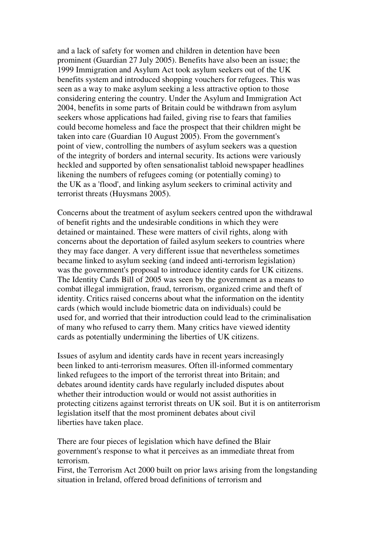and a lack of safety for women and children in detention have been prominent (Guardian 27 July 2005). Benefits have also been an issue; the 1999 Immigration and Asylum Act took asylum seekers out of the UK benefits system and introduced shopping vouchers for refugees. This was seen as a way to make asylum seeking a less attractive option to those considering entering the country. Under the Asylum and Immigration Act 2004, benefits in some parts of Britain could be withdrawn from asylum seekers whose applications had failed, giving rise to fears that families could become homeless and face the prospect that their children might be taken into care (Guardian 10 August 2005). From the government's point of view, controlling the numbers of asylum seekers was a question of the integrity of borders and internal security. Its actions were variously heckled and supported by often sensationalist tabloid newspaper headlines likening the numbers of refugees coming (or potentially coming) to the UK as a 'flood', and linking asylum seekers to criminal activity and terrorist threats (Huysmans 2005).

Concerns about the treatment of asylum seekers centred upon the withdrawal of benefit rights and the undesirable conditions in which they were detained or maintained. These were matters of civil rights, along with concerns about the deportation of failed asylum seekers to countries where they may face danger. A very different issue that nevertheless sometimes became linked to asylum seeking (and indeed anti-terrorism legislation) was the government's proposal to introduce identity cards for UK citizens. The Identity Cards Bill of 2005 was seen by the government as a means to combat illegal immigration, fraud, terrorism, organized crime and theft of identity. Critics raised concerns about what the information on the identity cards (which would include biometric data on individuals) could be used for, and worried that their introduction could lead to the criminalisation of many who refused to carry them. Many critics have viewed identity cards as potentially undermining the liberties of UK citizens.

Issues of asylum and identity cards have in recent years increasingly been linked to anti-terrorism measures. Often ill-informed commentary linked refugees to the import of the terrorist threat into Britain; and debates around identity cards have regularly included disputes about whether their introduction would or would not assist authorities in protecting citizens against terrorist threats on UK soil. But it is on antiterrorism legislation itself that the most prominent debates about civil liberties have taken place.

There are four pieces of legislation which have defined the Blair government's response to what it perceives as an immediate threat from terrorism.

First, the Terrorism Act 2000 built on prior laws arising from the longstanding situation in Ireland, offered broad definitions of terrorism and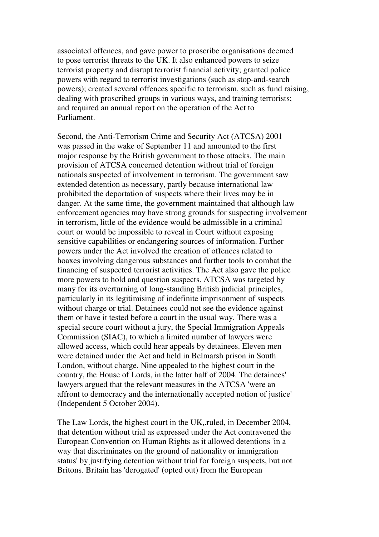associated offences, and gave power to proscribe organisations deemed to pose terrorist threats to the UK. It also enhanced powers to seize terrorist property and disrupt terrorist financial activity; granted police powers with regard to terrorist investigations (such as stop-and-search powers); created several offences specific to terrorism, such as fund raising, dealing with proscribed groups in various ways, and training terrorists; and required an annual report on the operation of the Act to Parliament.

Second, the Anti-Terrorism Crime and Security Act (ATCSA) 2001 was passed in the wake of September 11 and amounted to the first major response by the British government to those attacks. The main provision of ATCSA concerned detention without trial of foreign nationals suspected of involvement in terrorism. The government saw extended detention as necessary, partly because international law prohibited the deportation of suspects where their lives may be in danger. At the same time, the government maintained that although law enforcement agencies may have strong grounds for suspecting involvement in terrorism, little of the evidence would be admissible in a criminal court or would be impossible to reveal in Court without exposing sensitive capabilities or endangering sources of information. Further powers under the Act involved the creation of offences related to hoaxes involving dangerous substances and further tools to combat the financing of suspected terrorist activities. The Act also gave the police more powers to hold and question suspects. ATCSA was targeted by many for its overturning of long-standing British judicial principles, particularly in its legitimising of indefinite imprisonment of suspects without charge or trial. Detainees could not see the evidence against them or have it tested before a court in the usual way. There was a special secure court without a jury, the Special Immigration Appeals Commission (SIAC), to which a limited number of lawyers were allowed access, which could hear appeals by detainees. Eleven men were detained under the Act and held in Belmarsh prison in South London, without charge. Nine appealed to the highest court in the country, the House of Lords, in the latter half of 2004. The detainees' lawyers argued that the relevant measures in the ATCSA 'were an affront to democracy and the internationally accepted notion of justice' (Independent 5 October 2004).

The Law Lords, the highest court in the UK,.ruled, in December 2004, that detention without trial as expressed under the Act contravened the European Convention on Human Rights as it allowed detentions 'in a way that discriminates on the ground of nationality or immigration status' by justifying detention without trial for foreign suspects, but not Britons. Britain has 'derogated' (opted out) from the European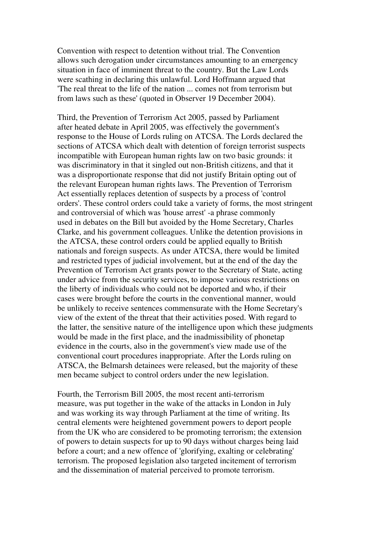Convention with respect to detention without trial. The Convention allows such derogation under circumstances amounting to an emergency situation in face of imminent threat to the country. But the Law Lords were scathing in declaring this unlawful. Lord Hoffmann argued that 'The real threat to the life of the nation ... comes not from terrorism but from laws such as these' (quoted in Observer 19 December 2004).

Third, the Prevention of Terrorism Act 2005, passed by Parliament after heated debate in April 2005, was effectively the government's response to the House of Lords ruling on ATCSA. The Lords declared the sections of ATCSA which dealt with detention of foreign terrorist suspects incompatible with European human rights law on two basic grounds: it was discriminatory in that it singled out non-British citizens, and that it was a disproportionate response that did not justify Britain opting out of the relevant European human rights laws. The Prevention of Terrorism Act essentially replaces detention of suspects by a process of 'control orders'. These control orders could take a variety of forms, the most stringent and controversial of which was 'house arrest' -a phrase commonly used in debates on the Bill but avoided by the Home Secretary, Charles Clarke, and his government colleagues. Unlike the detention provisions in the ATCSA, these control orders could be applied equally to British nationals and foreign suspects. As under ATCSA, there would be limited and restricted types of judicial involvement, but at the end of the day the Prevention of Terrorism Act grants power to the Secretary of State, acting under advice from the security services, to impose various restrictions on the liberty of individuals who could not be deported and who, if their cases were brought before the courts in the conventional manner, would be unlikely to receive sentences commensurate with the Home Secretary's view of the extent of the threat that their activities posed. With regard to the latter, the sensitive nature of the intelligence upon which these judgments would be made in the first place, and the inadmissibility of phonetap evidence in the courts, also in the government's view made use of the conventional court procedures inappropriate. After the Lords ruling on ATSCA, the Belmarsh detainees were released, but the majority of these men became subject to control orders under the new legislation.

Fourth, the Terrorism Bill 2005, the most recent anti-terrorism measure, was put together in the wake of the attacks in London in July and was working its way through Parliament at the time of writing. Its central elements were heightened government powers to deport people from the UK who are considered to be promoting terrorism; the extension of powers to detain suspects for up to 90 days without charges being laid before a court; and a new offence of 'glorifying, exalting or celebrating' terrorism. The proposed legislation also targeted incitement of terrorism and the dissemination of material perceived to promote terrorism.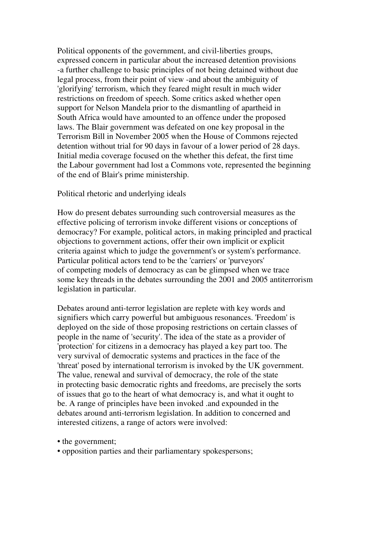Political opponents of the government, and civil-liberties groups, expressed concern in particular about the increased detention provisions -a further challenge to basic principles of not being detained without due legal process, from their point of view -and about the ambiguity of 'glorifying' terrorism, which they feared might result in much wider restrictions on freedom of speech. Some critics asked whether open support for Nelson Mandela prior to the dismantling of apartheid in South Africa would have amounted to an offence under the proposed laws. The Blair government was defeated on one key proposal in the Terrorism Bill in November 2005 when the House of Commons rejected detention without trial for 90 days in favour of a lower period of 28 days. Initial media coverage focused on the whether this defeat, the first time the Labour government had lost a Commons vote, represented the beginning of the end of Blair's prime ministership.

Political rhetoric and underlying ideals

How do present debates surrounding such controversial measures as the effective policing of terrorism invoke different visions or conceptions of democracy? For example, political actors, in making principled and practical objections to government actions, offer their own implicit or explicit criteria against which to judge the government's or system's performance. Particular political actors tend to be the 'carriers' or 'purveyors' of competing models of democracy as can be glimpsed when we trace some key threads in the debates surrounding the 2001 and 2005 antiterrorism legislation in particular.

Debates around anti-terror legislation are replete with key words and signifiers which carry powerful but ambiguous resonances. 'Freedom' is deployed on the side of those proposing restrictions on certain classes of people in the name of 'security'. The idea of the state as a provider of 'protection' for citizens in a democracy has played a key part too. The very survival of democratic systems and practices in the face of the 'threat' posed by international terrorism is invoked by the UK government. The value, renewal and survival of democracy, the role of the state in protecting basic democratic rights and freedoms, are precisely the sorts of issues that go to the heart of what democracy is, and what it ought to be. A range of principles have been invoked .and expounded in the debates around anti-terrorism legislation. In addition to concerned and interested citizens, a range of actors were involved:

- the government;
- opposition parties and their parliamentary spokespersons;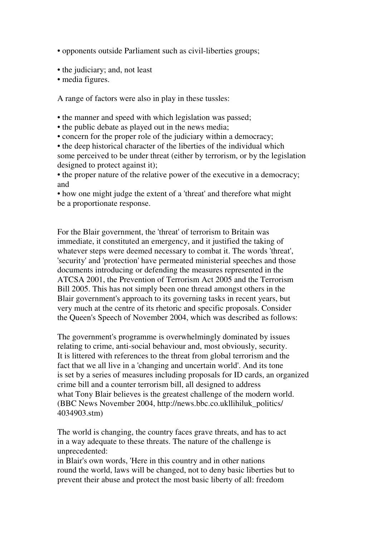• opponents outside Parliament such as civil-liberties groups;

- the judiciary; and, not least
- media figures.

A range of factors were also in play in these tussles:

• the manner and speed with which legislation was passed:

• the public debate as played out in the news media;

• concern for the proper role of the judiciary within a democracy;

• the deep historical character of the liberties of the individual which some perceived to be under threat (either by terrorism, or by the legislation designed to protect against it);

• the proper nature of the relative power of the executive in a democracy; and

• how one might judge the extent of a 'threat' and therefore what might be a proportionate response.

For the Blair government, the 'threat' of terrorism to Britain was immediate, it constituted an emergency, and it justified the taking of whatever steps were deemed necessary to combat it. The words 'threat', 'security' and 'protection' have permeated ministerial speeches and those documents introducing or defending the measures represented in the ATCSA 2001, the Prevention of Terrorism Act 2005 and the Terrorism Bill 2005. This has not simply been one thread amongst others in the Blair government's approach to its governing tasks in recent years, but very much at the centre of its rhetoric and specific proposals. Consider the Queen's Speech of November 2004, which was described as follows:

The government's programme is overwhelmingly dominated by issues relating to crime, anti-social behaviour and, most obviously, security. It is littered with references to the threat from global terrorism and the fact that we all live in a 'changing and uncertain world'. And its tone is set by a series of measures including proposals for ID cards, an organized crime bill and a counter terrorism bill, all designed to address what Tony Blair believes is the greatest challenge of the modern world. (BBC News November 2004, http://news.bbc.co.ukllihiluk\_politics/ 4034903.stm)

The world is changing, the country faces grave threats, and has to act in a way adequate to these threats. The nature of the challenge is unprecedented:

in Blair's own words, 'Here in this country and in other nations round the world, laws will be changed, not to deny basic liberties but to prevent their abuse and protect the most basic liberty of all: freedom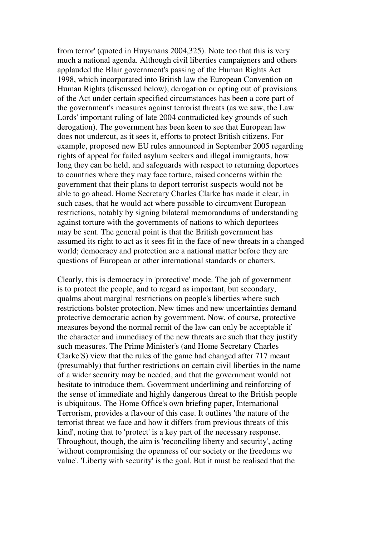from terror' (quoted in Huysmans 2004,325). Note too that this is very much a national agenda. Although civil liberties campaigners and others applauded the Blair government's passing of the Human Rights Act 1998, which incorporated into British law the European Convention on Human Rights (discussed below), derogation or opting out of provisions of the Act under certain specified circumstances has been a core part of the government's measures against terrorist threats (as we saw, the Law Lords' important ruling of late 2004 contradicted key grounds of such derogation). The government has been keen to see that European law does not undercut, as it sees it, efforts to protect British citizens. For example, proposed new EU rules announced in September 2005 regarding rights of appeal for failed asylum seekers and illegal immigrants, how long they can be held, and safeguards with respect to returning deportees to countries where they may face torture, raised concerns within the government that their plans to deport terrorist suspects would not be able to go ahead. Home Secretary Charles Clarke has made it clear, in such cases, that he would act where possible to circumvent European restrictions, notably by signing bilateral memorandums of understanding against torture with the governments of nations to which deportees may be sent. The general point is that the British government has assumed its right to act as it sees fit in the face of new threats in a changed world; democracy and protection are a national matter before they are questions of European or other international standards or charters.

Clearly, this is democracy in 'protective' mode. The job of government is to protect the people, and to regard as important, but secondary, qualms about marginal restrictions on people's liberties where such restrictions bolster protection. New times and new uncertainties demand protective democratic action by government. Now, of course, protective measures beyond the normal remit of the law can only be acceptable if the character and immediacy of the new threats are such that they justify such measures. The Prime Minister's (and Home Secretary Charles Clarke'S) view that the rules of the game had changed after 717 meant (presumably) that further restrictions on certain civil liberties in the name of a wider security may be needed, and that the government would not hesitate to introduce them. Government underlining and reinforcing of the sense of immediate and highly dangerous threat to the British people is ubiquitous. The Home Office's own briefing paper, International Terrorism, provides a flavour of this case. It outlines 'the nature of the terrorist threat we face and how it differs from previous threats of this kind', noting that to 'protect' is a key part of the necessary response. Throughout, though, the aim is 'reconciling liberty and security', acting 'without compromising the openness of our society or the freedoms we value'. 'Liberty with security' is the goal. But it must be realised that the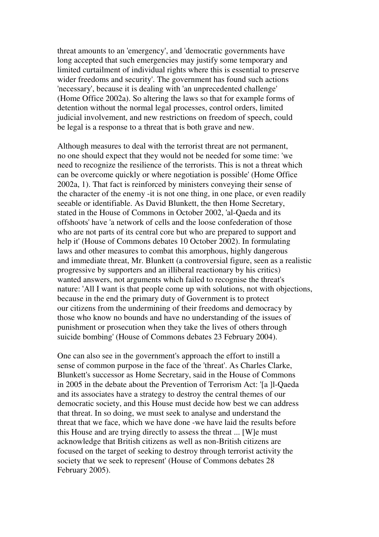threat amounts to an 'emergency', and 'democratic governments have long accepted that such emergencies may justify some temporary and limited curtailment of individual rights where this is essential to preserve wider freedoms and security'. The government has found such actions 'necessary', because it is dealing with 'an unprecedented challenge' (Home Office 2002a). So altering the laws so that for example forms of detention without the normal legal processes, control orders, limited judicial involvement, and new restrictions on freedom of speech, could be legal is a response to a threat that is both grave and new.

Although measures to deal with the terrorist threat are not permanent, no one should expect that they would not be needed for some time: 'we need to recognize the resilience of the terrorists. This is not a threat which can be overcome quickly or where negotiation is possible' (Home Office 2002a, 1). That fact is reinforced by ministers conveying their sense of the character of the enemy -it is not one thing, in one place, or even readily seeable or identifiable. As David Blunkett, the then Home Secretary, stated in the House of Commons in October 2002, 'al-Qaeda and its offshoots' have 'a network of cells and the loose confederation of those who are not parts of its central core but who are prepared to support and help it' (House of Commons debates 10 October 2002). In formulating laws and other measures to combat this amorphous, highly dangerous and immediate threat, Mr. Blunkett (a controversial figure, seen as a realistic progressive by supporters and an illiberal reactionary by his critics) wanted answers, not arguments which failed to recognise the threat's nature: 'All I want is that people come up with solutions, not with objections, because in the end the primary duty of Government is to protect our citizens from the undermining of their freedoms and democracy by those who know no bounds and have no understanding of the issues of punishment or prosecution when they take the lives of others through suicide bombing' (House of Commons debates 23 February 2004).

One can also see in the government's approach the effort to instill a sense of common purpose in the face of the 'threat'. As Charles Clarke, Blunkett's successor as Home Secretary, said in the House of Commons in 2005 in the debate about the Prevention of Terrorism Act: '[a ]l-Qaeda and its associates have a strategy to destroy the central themes of our democratic society, and this House must decide how best we can address that threat. In so doing, we must seek to analyse and understand the threat that we face, which we have done -we have laid the results before this House and are trying directly to assess the threat ... [W]e must acknowledge that British citizens as well as non-British citizens are focused on the target of seeking to destroy through terrorist activity the society that we seek to represent' (House of Commons debates 28 February 2005).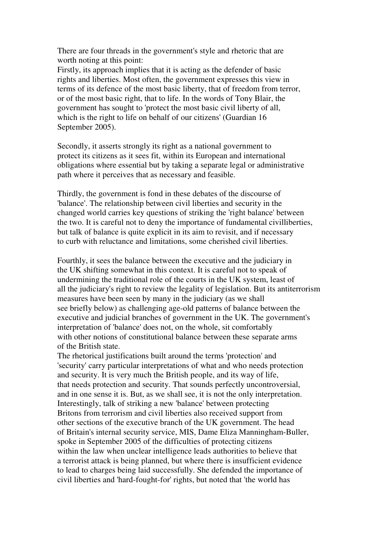There are four threads in the government's style and rhetoric that are worth noting at this point:

Firstly, its approach implies that it is acting as the defender of basic rights and liberties. Most often, the government expresses this view in terms of its defence of the most basic liberty, that of freedom from terror, or of the most basic right, that to life. In the words of Tony Blair, the government has sought to 'protect the most basic civil liberty of all, which is the right to life on behalf of our citizens' (Guardian 16) September 2005).

Secondly, it asserts strongly its right as a national government to protect its citizens as it sees fit, within its European and international obligations where essential but by taking a separate legal or administrative path where it perceives that as necessary and feasible.

Thirdly, the government is fond in these debates of the discourse of 'balance'. The relationship between civil liberties and security in the changed world carries key questions of striking the 'right balance' between the two. It is careful not to deny the importance of fundamental civilliberties, but talk of balance is quite explicit in its aim to revisit, and if necessary to curb with reluctance and limitations, some cherished civil liberties.

Fourthly, it sees the balance between the executive and the judiciary in the UK shifting somewhat in this context. It is careful not to speak of undermining the traditional role of the courts in the UK system, least of all the judiciary's right to review the legality of legislation. But its antiterrorism measures have been seen by many in the judiciary (as we shall see briefly below) as challenging age-old patterns of balance between the executive and judicial branches of government in the UK. The government's interpretation of 'balance' does not, on the whole, sit comfortably with other notions of constitutional balance between these separate arms of the British state.

The rhetorical justifications built around the terms 'protection' and 'security' carry particular interpretations of what and who needs protection and security. It is very much the British people, and its way of life, that needs protection and security. That sounds perfectly uncontroversial, and in one sense it is. But, as we shall see, it is not the only interpretation. Interestingly, talk of striking a new 'balance' between protecting Britons from terrorism and civil liberties also received support from other sections of the executive branch of the UK government. The head of Britain's internal security service, MIS, Dame Eliza Manningham-Buller, spoke in September 2005 of the difficulties of protecting citizens within the law when unclear intelligence leads authorities to believe that a terrorist attack is being planned, but where there is insufficient evidence to lead to charges being laid successfully. She defended the importance of civil liberties and 'hard-fought-for' rights, but noted that 'the world has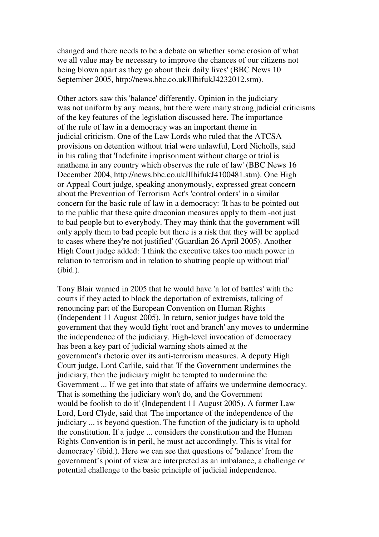changed and there needs to be a debate on whether some erosion of what we all value may be necessary to improve the chances of our citizens not being blown apart as they go about their daily lives' (BBC News 10 September 2005, http://news.bbc.co.ukJlIhifukJ4232012.stm).

Other actors saw this 'balance' differently. Opinion in the judiciary was not uniform by any means, but there were many strong judicial criticisms of the key features of the legislation discussed here. The importance of the rule of law in a democracy was an important theme in judicial criticism. One of the Law Lords who ruled that the ATCSA provisions on detention without trial were unlawful, Lord Nicholls, said in his ruling that 'Indefinite imprisonment without charge or trial is anathema in any country which observes the rule of law' (BBC News 16 December 2004, http://news.bbc.co.ukJlIhifukJ4100481.stm). One High or Appeal Court judge, speaking anonymously, expressed great concern about the Prevention of Terrorism Act's 'control orders' in a similar concern for the basic rule of law in a democracy: 'It has to be pointed out to the public that these quite draconian measures apply to them -not just to bad people but to everybody. They may think that the government will only apply them to bad people but there is a risk that they will be applied to cases where they're not justified' (Guardian 26 April 2005). Another High Court judge added: 'I think the executive takes too much power in relation to terrorism and in relation to shutting people up without trial' (ibid.).

Tony Blair warned in 2005 that he would have 'a lot of battles' with the courts if they acted to block the deportation of extremists, talking of renouncing part of the European Convention on Human Rights (Independent 11 August 2005). In return, senior judges have told the government that they would fight 'root and branch' any moves to undermine the independence of the judiciary. High-level invocation of democracy has been a key part of judicial warning shots aimed at the government's rhetoric over its anti-terrorism measures. A deputy High Court judge, Lord Carlile, said that 'If the Government undermines the judiciary, then the judiciary might be tempted to undermine the Government ... If we get into that state of affairs we undermine democracy. That is something the judiciary won't do, and the Government would be foolish to do it' (Independent 11 August 2005). A former Law Lord, Lord Clyde, said that 'The importance of the independence of the judiciary ... is beyond question. The function of the judiciary is to uphold the constitution. If a judge ... considers the constitution and the Human Rights Convention is in peril, he must act accordingly. This is vital for democracy' (ibid.). Here we can see that questions of 'balance' from the government's point of view are interpreted as an imbalance, a challenge or potential challenge to the basic principle of judicial independence.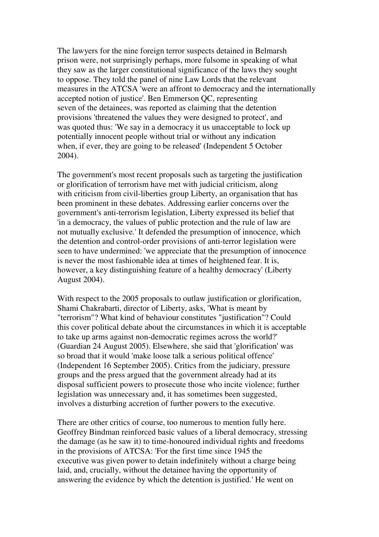The lawyers for the nine foreign terror suspects detained in Belmarsh prison were, not surprisingly perhaps, more fulsome in speaking of what they saw as the larger constitutional significance of the laws they sought to oppose. They told the panel of nine Law Lords that the relevant measures in the ATCSA 'were an affront to democracy and the internationally accepted notion of justice'. Ben Emmerson QC, representing seven of the detainees, was reported as claiming that the detention provisions 'threatened the values they were designed to protect', and was quoted thus: 'We say in a democracy it us unacceptable to lock up potentially innocent people without trial or without any indication when, if ever, they are going to be released' (Independent 5 October 2004).

The government's most recent proposals such as targeting the justification or glorification of terrorism have met with judicial criticism, along with criticism from civil-liberties group Liberty, an organisation that has been prominent in these debates. Addressing earlier concerns over the government's anti-terrorism legislation, Liberty expressed its belief that 'in a democracy, the values of public protection and the rule of law are not mutually exclusive.' It defended the presumption of innocence, which the detention and control-order provisions of anti-terror legislation were seen to have undermined: 'we appreciate that the presumption of innocence is never the most fashionable idea at times of heightened fear. It is, however, a key distinguishing feature of a healthy democracy' (Liberty August 2004).

With respect to the 2005 proposals to outlaw justification or glorification, Shami Chakrabarti, director of Liberty, asks, 'What is meant by "terrorism"? What kind of behaviour constitutes "justification"? Could this cover political debate about the circumstances in which it is acceptable to take up arms against non-democratic regimes across the world?' (Guardian 24 August 2005). Elsewhere, she said that 'glorification' was so broad that it would 'make loose talk a serious political offence' (Independent 16 September 2005). Critics from the judiciary, pressure groups and the press argued that the government already had at its disposal sufficient powers to prosecute those who incite violence; further legislation was unnecessary and, it has sometimes been suggested, involves a disturbing accretion of further powers to the executive.

There are other critics of course, too numerous to mention fully here. Geoffrey Bindman reinforced basic values of a liberal democracy, stressing the damage (as he saw it) to time-honoured individual rights and freedoms in the provisions of ATCSA: 'For the first time since 1945 the executive was given power to detain indefinitely without a charge being laid, and, crucially, without the detainee having the opportunity of answering the evidence by which the detention is justified.' He went on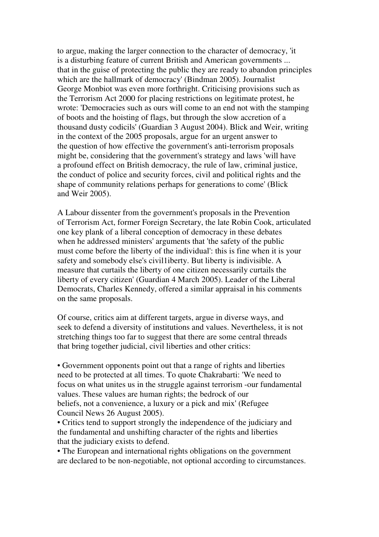to argue, making the larger connection to the character of democracy, 'it is a disturbing feature of current British and American governments ... that in the guise of protecting the public they are ready to abandon principles which are the hallmark of democracy' (Bindman 2005). Journalist George Monbiot was even more forthright. Criticising provisions such as the Terrorism Act 2000 for placing restrictions on legitimate protest, he wrote: 'Democracies such as ours will come to an end not with the stamping of boots and the hoisting of flags, but through the slow accretion of a thousand dusty codicils' (Guardian 3 August 2004). Blick and Weir, writing in the context of the 2005 proposals, argue for an urgent answer to the question of how effective the government's anti-terrorism proposals might be, considering that the government's strategy and laws 'will have a profound effect on British democracy, the rule of law, criminal justice, the conduct of police and security forces, civil and political rights and the shape of community relations perhaps for generations to come' (Blick and Weir 2005).

A Labour dissenter from the government's proposals in the Prevention of Terrorism Act, former Foreign Secretary, the late Robin Cook, articulated one key plank of a liberal conception of democracy in these debates when he addressed ministers' arguments that 'the safety of the public must come before the liberty of the individual': this is fine when it is your safety and somebody else's civil1iberty. But liberty is indivisible. A measure that curtails the liberty of one citizen necessarily curtails the liberty of every citizen' (Guardian 4 March 2005). Leader of the Liberal Democrats, Charles Kennedy, offered a similar appraisal in his comments on the same proposals.

Of course, critics aim at different targets, argue in diverse ways, and seek to defend a diversity of institutions and values. Nevertheless, it is not stretching things too far to suggest that there are some central threads that bring together judicial, civil liberties and other critics:

• Government opponents point out that a range of rights and liberties need to be protected at all times. To quote Chakrabarti: 'We need to focus on what unites us in the struggle against terrorism -our fundamental values. These values are human rights; the bedrock of our beliefs, not a convenience, a luxury or a pick and mix' (Refugee Council News 26 August 2005).

• Critics tend to support strongly the independence of the judiciary and the fundamental and unshifting character of the rights and liberties that the judiciary exists to defend.

• The European and international rights obligations on the government are declared to be non-negotiable, not optional according to circumstances.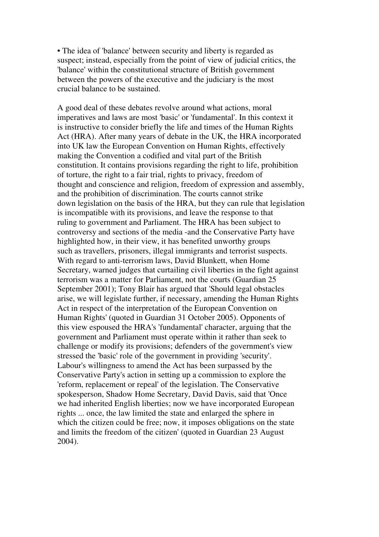• The idea of 'balance' between security and liberty is regarded as suspect; instead, especially from the point of view of judicial critics, the 'balance' within the constitutional structure of British government between the powers of the executive and the judiciary is the most crucial balance to be sustained.

A good deal of these debates revolve around what actions, moral imperatives and laws are most 'basic' or 'fundamental'. In this context it is instructive to consider briefly the life and times of the Human Rights Act (HRA). After many years of debate in the UK, the HRA incorporated into UK law the European Convention on Human Rights, effectively making the Convention a codified and vital part of the British constitution. It contains provisions regarding the right to life, prohibition of torture, the right to a fair trial, rights to privacy, freedom of thought and conscience and religion, freedom of expression and assembly, and the prohibition of discrimination. The courts cannot strike down legislation on the basis of the HRA, but they can rule that legislation is incompatible with its provisions, and leave the response to that ruling to government and Parliament. The HRA has been subject to controversy and sections of the media -and the Conservative Party have highlighted how, in their view, it has benefited unworthy groups such as travellers, prisoners, illegal immigrants and terrorist suspects. With regard to anti-terrorism laws, David Blunkett, when Home Secretary, warned judges that curtailing civil liberties in the fight against terrorism was a matter for Parliament, not the courts (Guardian 25 September 2001); Tony Blair has argued that 'Should legal obstacles arise, we will legislate further, if necessary, amending the Human Rights Act in respect of the interpretation of the European Convention on Human Rights' (quoted in Guardian 31 October 2005). Opponents of this view espoused the HRA's 'fundamental' character, arguing that the government and Parliament must operate within it rather than seek to challenge or modify its provisions; defenders of the government's view stressed the 'basic' role of the government in providing 'security'. Labour's willingness to amend the Act has been surpassed by the Conservative Party's action in setting up a commission to explore the 'reform, replacement or repeal' of the legislation. The Conservative spokesperson, Shadow Home Secretary, David Davis, said that 'Once we had inherited English liberties; now we have incorporated European rights ... once, the law limited the state and enlarged the sphere in which the citizen could be free; now, it imposes obligations on the state and limits the freedom of the citizen' (quoted in Guardian 23 August 2004).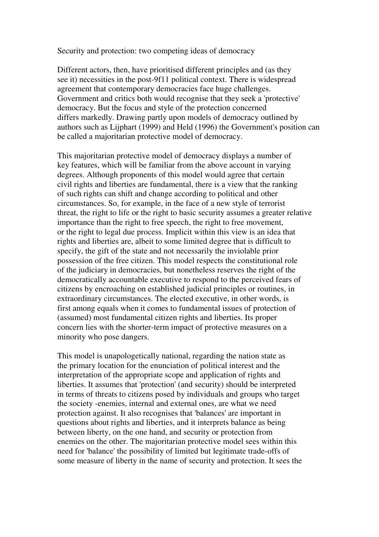Security and protection: two competing ideas of democracy

Different actors, then, have prioritised different principles and (as they see it) necessities in the post-9f11 political context. There is widespread agreement that contemporary democracies face huge challenges. Government and critics both would recognise that they seek a 'protective' democracy. But the focus and style of the protection concerned differs markedly. Drawing partly upon models of democracy outlined by authors such as Lijphart (1999) and Held (1996) the Government's position can be called a majoritarian protective model of democracy.

This majoritarian protective model of democracy displays a number of key features, which will be familiar from the above account in varying degrees. Although proponents of this model would agree that certain civil rights and liberties are fundamental, there is a view that the ranking of such rights can shift and change according to political and other circumstances. So, for example, in the face of a new style of terrorist threat, the right to life or the right to basic security assumes a greater relative importance than the right to free speech, the right to free movement, or the right to legal due process. Implicit within this view is an idea that rights and liberties are, albeit to some limited degree that is difficult to specify, the gift of the state and not necessarily the inviolable prior possession of the free citizen. This model respects the constitutional role of the judiciary in democracies, but nonetheless reserves the right of the democratically accountable executive to respond to the perceived fears of citizens by encroaching on established judicial principles or routines, in extraordinary circumstances. The elected executive, in other words, is first among equals when it comes to fundamental issues of protection of (assumed) most fundamental citizen rights and liberties. Its proper concern lies with the shorter-term impact of protective measures on a minority who pose dangers.

This model is unapologetically national, regarding the nation state as the primary location for the enunciation of political interest and the interpretation of the appropriate scope and application of rights and liberties. It assumes that 'protection' (and security) should be interpreted in terms of threats to citizens posed by individuals and groups who target the society -enemies, internal and external ones, are what we need protection against. It also recognises that 'balances' are important in questions about rights and liberties, and it interprets balance as being between liberty, on the one hand, and security or protection from enemies on the other. The majoritarian protective model sees within this need for 'balance' the possibility of limited but legitimate trade-offs of some measure of liberty in the name of security and protection. It sees the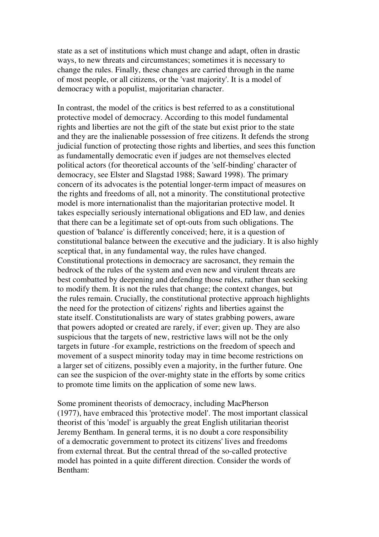state as a set of institutions which must change and adapt, often in drastic ways, to new threats and circumstances; sometimes it is necessary to change the rules. Finally, these changes are carried through in the name of most people, or all citizens, or the 'vast majority'. It is a model of democracy with a populist, majoritarian character.

In contrast, the model of the critics is best referred to as a constitutional protective model of democracy. According to this model fundamental rights and liberties are not the gift of the state but exist prior to the state and they are the inalienable possession of free citizens. It defends the strong judicial function of protecting those rights and liberties, and sees this function as fundamentally democratic even if judges are not themselves elected political actors (for theoretical accounts of the 'self-binding' character of democracy, see Elster and Slagstad 1988; Saward 1998). The primary concern of its advocates is the potential longer-term impact of measures on the rights and freedoms of all, not a minority. The constitutional protective model is more internationalist than the majoritarian protective model. It takes especially seriously international obligations and ED law, and denies that there can be a legitimate set of opt-outs from such obligations. The question of 'balance' is differently conceived; here, it is a question of constitutional balance between the executive and the judiciary. It is also highly sceptical that, in any fundamental way, the rules have changed. Constitutional protections in democracy are sacrosanct, they remain the bedrock of the rules of the system and even new and virulent threats are best combatted by deepening and defending those rules, rather than seeking to modify them. It is not the rules that change; the context changes, but the rules remain. Crucially, the constitutional protective approach highlights the need for the protection of citizens' rights and liberties against the state itself. Constitutionalists are wary of states grabbing powers, aware that powers adopted or created are rarely, if ever; given up. They are also suspicious that the targets of new, restrictive laws will not be the only targets in future -for example, restrictions on the freedom of speech and movement of a suspect minority today may in time become restrictions on a larger set of citizens, possibly even a majority, in the further future. One can see the suspicion of the over-mighty state in the efforts by some critics to promote time limits on the application of some new laws.

Some prominent theorists of democracy, including MacPherson (1977), have embraced this 'protective model'. The most important classical theorist of this 'model' is arguably the great English utilitarian theorist Jeremy Bentham. In general terms, it is no doubt a core responsibility of a democratic government to protect its citizens' lives and freedoms from external threat. But the central thread of the so-called protective model has pointed in a quite different direction. Consider the words of Bentham: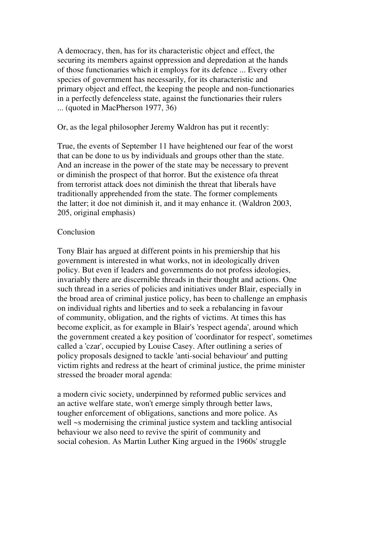A democracy, then, has for its characteristic object and effect, the securing its members against oppression and depredation at the hands of those functionaries which it employs for its defence ... Every other species of government has necessarily, for its characteristic and primary object and effect, the keeping the people and non-functionaries in a perfectly defenceless state, against the functionaries their rulers ... (quoted in MacPherson 1977, 36)

Or, as the legal philosopher Jeremy Waldron has put it recently:

True, the events of September 11 have heightened our fear of the worst that can be done to us by individuals and groups other than the state. And an increase in the power of the state may be necessary to prevent or diminish the prospect of that horror. But the existence ofa threat from terrorist attack does not diminish the threat that liberals have traditionally apprehended from the state. The former complements the latter; it doe not diminish it, and it may enhance it. (Waldron 2003, 205, original emphasis)

#### Conclusion

Tony Blair has argued at different points in his premiership that his government is interested in what works, not in ideologically driven policy. But even if leaders and governments do not profess ideologies, invariably there are discernible threads in their thought and actions. One such thread in a series of policies and initiatives under Blair, especially in the broad area of criminal justice policy, has been to challenge an emphasis on individual rights and liberties and to seek a rebalancing in favour of community, obligation, and the rights of victims. At times this has become explicit, as for example in Blair's 'respect agenda', around which the government created a key position of 'coordinator for respect', sometimes called a 'czar', occupied by Louise Casey. After outlining a series of policy proposals designed to tackle 'anti-social behaviour' and putting victim rights and redress at the heart of criminal justice, the prime minister stressed the broader moral agenda:

a modern civic society, underpinned by reformed public services and an active welfare state, won't emerge simply through better laws, tougher enforcement of obligations, sanctions and more police. As well ~s modernising the criminal justice system and tackling antisocial behaviour we also need to revive the spirit of community and social cohesion. As Martin Luther King argued in the 1960s' struggle